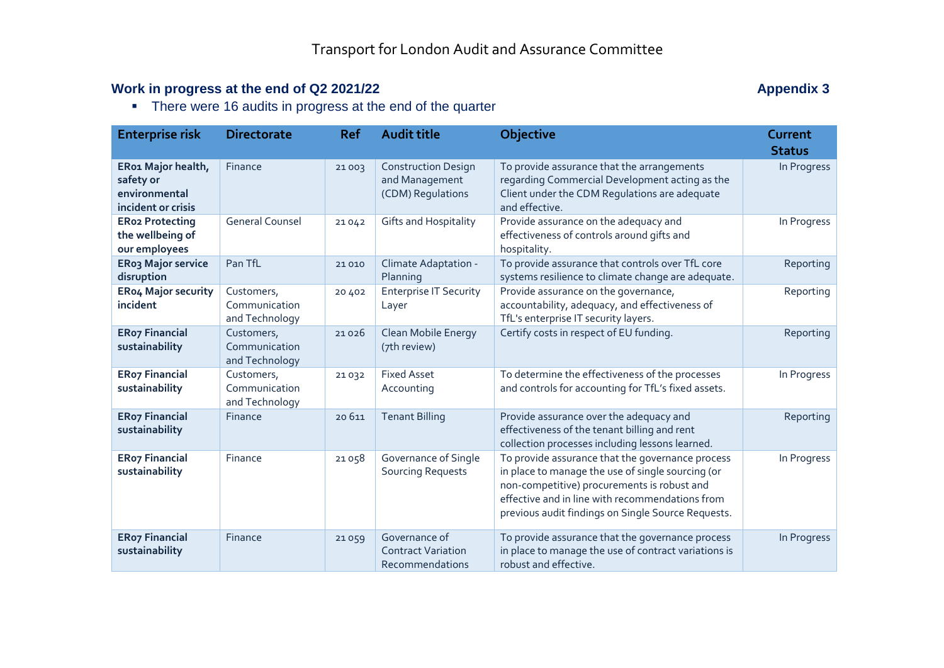## **Work in progress at the end of Q2 2021/22 Appendix 3 Appendix 3**

• There were 16 audits in progress at the end of the quarter

| <b>Enterprise risk</b>                                                 | <b>Directorate</b>                            | <b>Ref</b> | <b>Audit title</b>                                                | <b>Objective</b>                                                                                                                                                                                                                                              | Current       |
|------------------------------------------------------------------------|-----------------------------------------------|------------|-------------------------------------------------------------------|---------------------------------------------------------------------------------------------------------------------------------------------------------------------------------------------------------------------------------------------------------------|---------------|
|                                                                        |                                               |            |                                                                   |                                                                                                                                                                                                                                                               | <b>Status</b> |
| ER01 Major health,<br>safety or<br>environmental<br>incident or crisis | Finance                                       | 21003      | <b>Construction Design</b><br>and Management<br>(CDM) Regulations | To provide assurance that the arrangements<br>regarding Commercial Development acting as the<br>Client under the CDM Regulations are adequate<br>and effective.                                                                                               | In Progress   |
| <b>ERo2 Protecting</b><br>the wellbeing of<br>our employees            | <b>General Counsel</b>                        | 21042      | <b>Gifts and Hospitality</b>                                      | Provide assurance on the adequacy and<br>effectiveness of controls around gifts and<br>hospitality.                                                                                                                                                           | In Progress   |
| ERo3 Major service<br>disruption                                       | Pan TfL                                       | 21 0 10    | Climate Adaptation -<br>Planning                                  | To provide assurance that controls over TfL core<br>systems resilience to climate change are adequate.                                                                                                                                                        | Reporting     |
| <b>ERo4 Major security</b><br>incident                                 | Customers,<br>Communication<br>and Technology | 20 402     | <b>Enterprise IT Security</b><br>Layer                            | Provide assurance on the governance,<br>accountability, adequacy, and effectiveness of<br>TfL's enterprise IT security layers.                                                                                                                                | Reporting     |
| <b>ERo7 Financial</b><br>sustainability                                | Customers,<br>Communication<br>and Technology | 21026      | Clean Mobile Energy<br>(7th review)                               | Certify costs in respect of EU funding.                                                                                                                                                                                                                       | Reporting     |
| <b>ERo7 Financial</b><br>sustainability                                | Customers,<br>Communication<br>and Technology | 21032      | <b>Fixed Asset</b><br>Accounting                                  | To determine the effectiveness of the processes<br>and controls for accounting for TfL's fixed assets.                                                                                                                                                        | In Progress   |
| <b>ERo7 Financial</b><br>sustainability                                | Finance                                       | 20 6 11    | <b>Tenant Billing</b>                                             | Provide assurance over the adequacy and<br>effectiveness of the tenant billing and rent<br>collection processes including lessons learned.                                                                                                                    | Reporting     |
| <b>ERo7 Financial</b><br>sustainability                                | Finance                                       | 21058      | Governance of Single<br><b>Sourcing Requests</b>                  | To provide assurance that the governance process<br>in place to manage the use of single sourcing (or<br>non-competitive) procurements is robust and<br>effective and in line with recommendations from<br>previous audit findings on Single Source Requests. | In Progress   |
| <b>ERo7 Financial</b><br>sustainability                                | Finance                                       | 21059      | Governance of<br><b>Contract Variation</b><br>Recommendations     | To provide assurance that the governance process<br>in place to manage the use of contract variations is<br>robust and effective.                                                                                                                             | In Progress   |